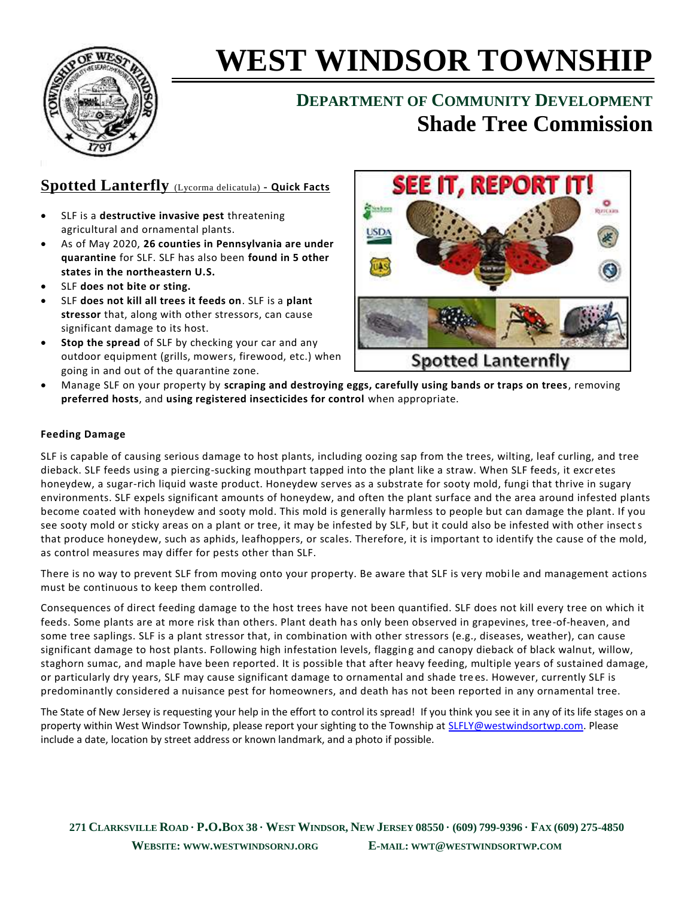

# **WEST WINDSOR TOWNSHIP**

# **DEPARTMENT OF COMMUNITY DEVELOPMENT Shade Tree Commission**

## **Spotted Lanterfly** (Lycorma delicatula) **- Quick Facts**

- SLF is a **destructive invasive pest** threatening agricultural and ornamental plants.
- As of May 2020, **26 counties in Pennsylvania are under quarantine** for SLF. SLF has also been **found in 5 other states in the northeastern U.S.**
- SLF **does not bite or sting.**
- SLF **does not kill all trees it feeds on**. SLF is a **plant stressor** that, along with other stressors, can cause significant damage to its host.
- **Stop the spread** of SLF by checking your car and any outdoor equipment (grills, mowers, firewood, etc.) when going in and out of the quarantine zone.



 Manage SLF on your property by **scraping and destroying eggs, carefully using bands or traps on trees**, removing **preferred hosts**, and **using registered insecticides for control** when appropriate.

#### **Feeding Damage**

SLF is capable of causing serious damage to host plants, including oozing sap from the trees, wilting, leaf curling, and tree dieback. SLF feeds using a piercing-sucking mouthpart tapped into the plant like a straw. When SLF feeds, it excr etes honeydew, a sugar-rich liquid waste product. Honeydew serves as a substrate for sooty mold, fungi that thrive in sugary environments. SLF expels significant amounts of honeydew, and often the plant surface and the area around infested plants become coated with honeydew and sooty mold. This mold is generally harmless to people but can damage the plant. If you see sooty mold or sticky areas on a plant or tree, it may be infested by SLF, but it could also be infested with other insects that produce honeydew, such as aphids, leafhoppers, or scales. Therefore, it is important to identify the cause of the mold, as control measures may differ for pests other than SLF.

There is no way to prevent SLF from moving onto your property. Be aware that SLF is very mobi le and management actions must be continuous to keep them controlled.

Consequences of direct feeding damage to the host trees have not been quantified. SLF does not kill every tree on which it feeds. Some plants are at more risk than others. Plant death has only been observed in grapevines, tree-of-heaven, and some tree saplings. SLF is a plant stressor that, in combination with other stressors (e.g., diseases, weather), can cause significant damage to host plants. Following high infestation levels, flagging and canopy dieback of black walnut, willow, staghorn sumac, and maple have been reported. It is possible that after heavy feeding, multiple years of sustained damage, or particularly dry years, SLF may cause significant damage to ornamental and shade tre es. However, currently SLF is predominantly considered a nuisance pest for homeowners, and death has not been reported in any ornamental tree.

The State of New Jersey is requesting your help in the effort to control its spread! If you think you see it in any of its life stages on a property within West Windsor Township, please report your sighting to the Township at [SLFLY@westwindsortwp.com.](mailto:SLFLY@westwindsortwp.com) Please include a date, location by street address or known landmark, and a photo if possible.